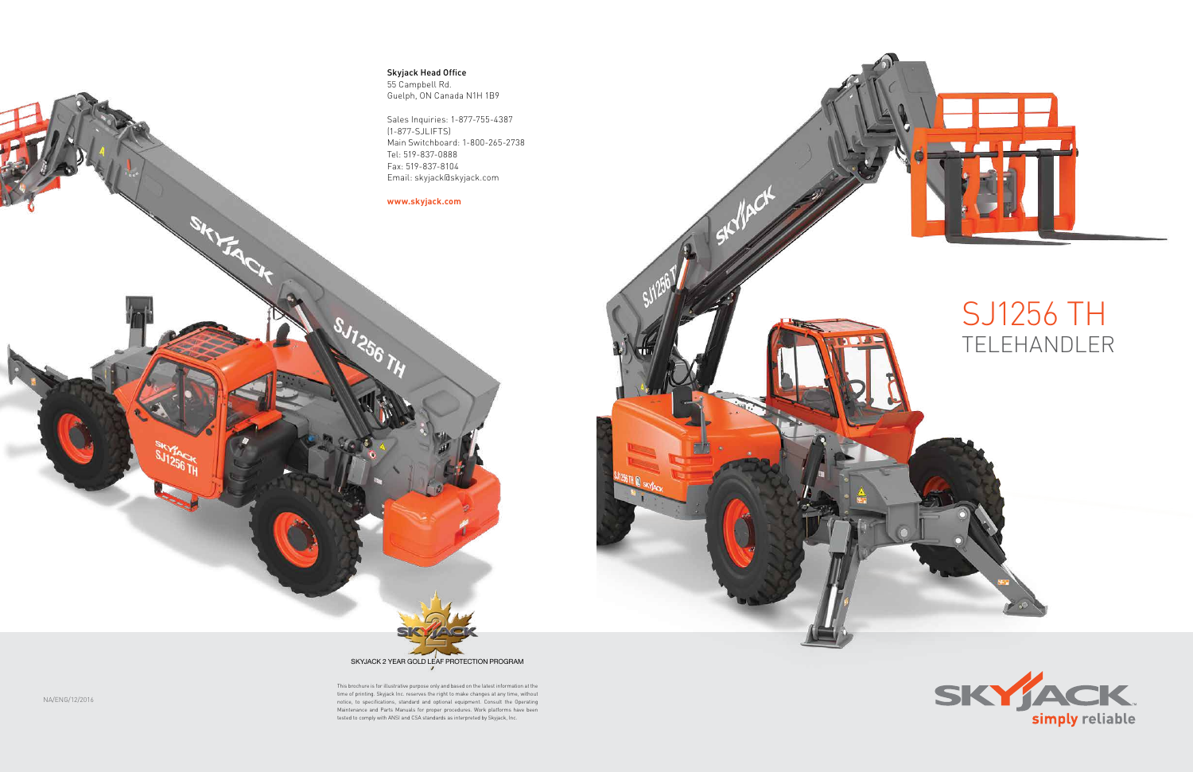### SJ1256 TH TELEHANDLER



Skyjack Head Office 55 Campbell Rd. Guelph, ON Canada N1H 1B9

Sales Inquiries: 1-877-755-4387 (1-877-SJLIFTS) Main Switchboard: 1-800-265-2738 Tel: 519-837-0888 Fax: 519-837-8104 Email: skyjack@skyjack.com

#### **www.skyjack.com**

SHIFA CH

This brochure is for illustrative purpose only and based on the latest information at the time of printing. Skyjack Inc. reserves the right to make changes at any time, without notice, to specifications, standard and optional equipment. Consult the Operating Maintenance and Parts Manuals for proper procedures. Work platforms have been tested to comply with ANSI and CSA standards as interpreted by Skyjack, Inc.



NA/ENG/12/2016



 $\mathcal{N}^{\mathcal{S}}$ 

 $\overline{A}$